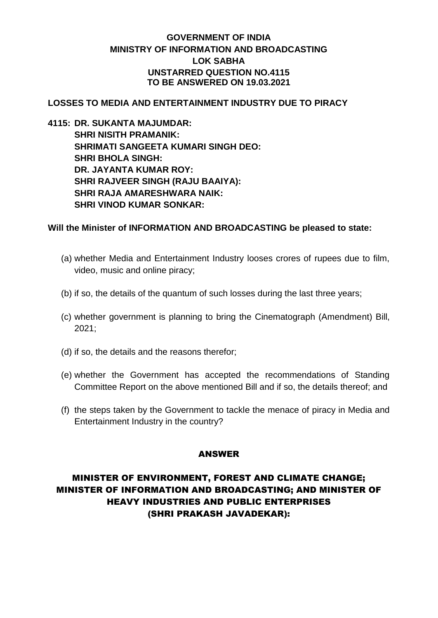# **GOVERNMENT OF INDIA MINISTRY OF INFORMATION AND BROADCASTING LOK SABHA UNSTARRED QUESTION NO.4115 TO BE ANSWERED ON 19.03.2021**

## **LOSSES TO MEDIA AND ENTERTAINMENT INDUSTRY DUE TO PIRACY**

**4115: DR. SUKANTA MAJUMDAR: SHRI NISITH PRAMANIK: SHRIMATI SANGEETA KUMARI SINGH DEO: SHRI BHOLA SINGH: DR. JAYANTA KUMAR ROY: SHRI RAJVEER SINGH (RAJU BAAIYA): SHRI RAJA AMARESHWARA NAIK: SHRI VINOD KUMAR SONKAR:**

#### **Will the Minister of INFORMATION AND BROADCASTING be pleased to state:**

- (a) whether Media and Entertainment Industry looses crores of rupees due to film, video, music and online piracy;
- (b) if so, the details of the quantum of such losses during the last three years;
- (c) whether government is planning to bring the Cinematograph (Amendment) Bill, 2021;
- (d) if so, the details and the reasons therefor;
- (e) whether the Government has accepted the recommendations of Standing Committee Report on the above mentioned Bill and if so, the details thereof; and
- (f) the steps taken by the Government to tackle the menace of piracy in Media and Entertainment Industry in the country?

## ANSWER

# MINISTER OF ENVIRONMENT, FOREST AND CLIMATE CHANGE; MINISTER OF INFORMATION AND BROADCASTING; AND MINISTER OF HEAVY INDUSTRIES AND PUBLIC ENTERPRISES (SHRI PRAKASH JAVADEKAR):